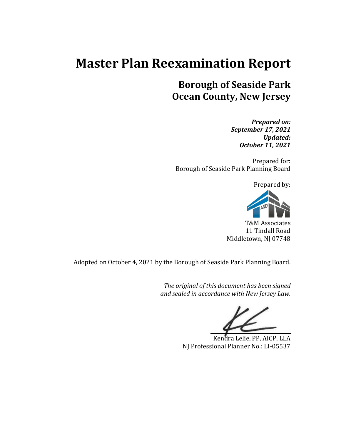# **Master Plan Reexamination Report**

## **Borough of Seaside Park Ocean County, New Jersey**

*Prepared on: September 17, 2021 Updated: October 11, 2021*

Prepared for: Borough of Seaside Park Planning Board

Prepared by:



T&M Associates 11 Tindall Road Middletown, NJ 07748

Adopted on October 4, 2021 by the Borough of Seaside Park Planning Board.

*The original of this document has been signed and sealed in accordance with New Jersey Law.*

Kendra Lelie, PP, AICP, LLA NJ Professional Planner No.: LI-05537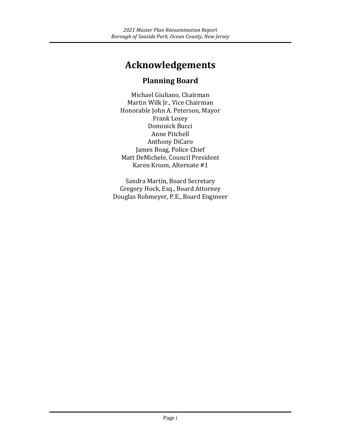# **Acknowledgements**

## **Planning Board**

Michael Giuliano, Chairman Martin Wilk Jr., Vice Chairman Honorable John A. Peterson, Mayor Frank Losey Dominick Bucci Anne Pitchell Anthony DiCaro James Boag, Police Chief Matt DeMichele, Council President Karen Kroon, Alternate #1

Sandra Martin, Board Secretary Gregory Hock, Esq., Board Attorney Douglas Rohmeyer, P.E., Board Engineer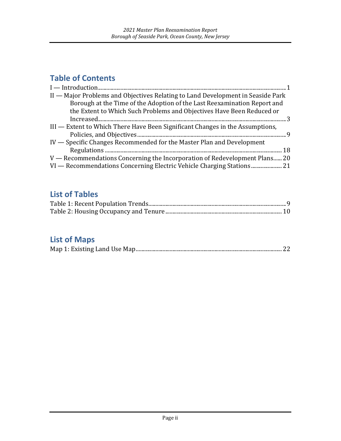## **Table of Contents**

| II - Major Problems and Objectives Relating to Land Development in Seaside Park |
|---------------------------------------------------------------------------------|
| Borough at the Time of the Adoption of the Last Reexamination Report and        |
| the Extent to Which Such Problems and Objectives Have Been Reduced or           |
|                                                                                 |
| III - Extent to Which There Have Been Significant Changes in the Assumptions,   |
|                                                                                 |
| IV — Specific Changes Recommended for the Master Plan and Development           |
|                                                                                 |
| V — Recommendations Concerning the Incorporation of Redevelopment Plans 20      |
| VI - Recommendations Concerning Electric Vehicle Charging Stations 21           |

## **List of Tables**

## **List of Maps**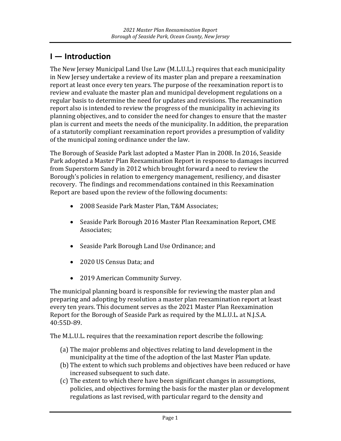## <span id="page-3-0"></span>**I — Introduction**

The New Jersey Municipal Land Use Law (M.L.U.L.) requires that each municipality in New Jersey undertake a review of its master plan and prepare a reexamination report at least once every ten years. The purpose of the reexamination report is to review and evaluate the master plan and municipal development regulations on a regular basis to determine the need for updates and revisions. The reexamination report also is intended to review the progress of the municipality in achieving its planning objectives, and to consider the need for changes to ensure that the master plan is current and meets the needs of the municipality. In addition, the preparation of a statutorily compliant reexamination report provides a presumption of validity of the municipal zoning ordinance under the law.

The Borough of Seaside Park last adopted a Master Plan in 2008. In 2016, Seaside Park adopted a Master Plan Reexamination Report in response to damages incurred from Superstorm Sandy in 2012 which brought forward a need to review the Borough's policies in relation to emergency management, resiliency, and disaster recovery. The findings and recommendations contained in this Reexamination Report are based upon the review of the following documents:

- 2008 Seaside Park Master Plan, T&M Associates;
- Seaside Park Borough 2016 Master Plan Reexamination Report, CME Associates;
- Seaside Park Borough Land Use Ordinance; and
- 2020 US Census Data; and
- 2019 American Community Survey.

The municipal planning board is responsible for reviewing the master plan and preparing and adopting by resolution a master plan reexamination report at least every ten years. This document serves as the 2021 Master Plan Reexamination Report for the Borough of Seaside Park as required by the M.L.U.L. at N.J.S.A. 40:55D-89.

The M.L.U.L. requires that the reexamination report describe the following:

- (a) The major problems and objectives relating to land development in the municipality at the time of the adoption of the last Master Plan update.
- (b) The extent to which such problems and objectives have been reduced or have increased subsequent to such date.
- (c) The extent to which there have been significant changes in assumptions, policies, and objectives forming the basis for the master plan or development regulations as last revised, with particular regard to the density and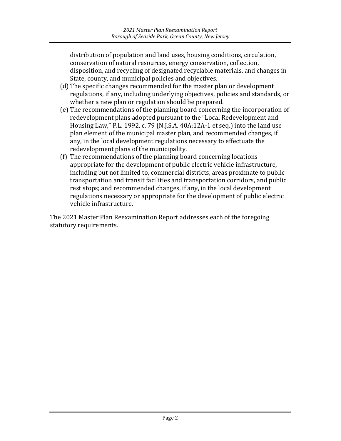distribution of population and land uses, housing conditions, circulation, conservation of natural resources, energy conservation, collection, disposition, and recycling of designated recyclable materials, and changes in State, county, and municipal policies and objectives.

- (d) The specific changes recommended for the master plan or development regulations, if any, including underlying objectives, policies and standards, or whether a new plan or regulation should be prepared.
- (e) The recommendations of the planning board concerning the incorporation of redevelopment plans adopted pursuant to the "Local Redevelopment and Housing Law," P.L. 1992, c. 79 (N.J.S.A. 40A:12A-1 et seq.) into the land use plan element of the municipal master plan, and recommended changes, if any, in the local development regulations necessary to effectuate the redevelopment plans of the municipality.
- (f) The recommendations of the planning board concerning locations appropriate for the development of public electric vehicle infrastructure, including but not limited to, commercial districts, areas proximate to public transportation and transit facilities and transportation corridors, and public rest stops; and recommended changes, if any, in the local development regulations necessary or appropriate for the development of public electric vehicle infrastructure.

The 2021 Master Plan Reexamination Report addresses each of the foregoing statutory requirements.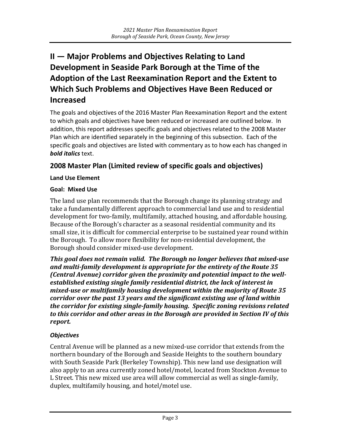## <span id="page-5-0"></span>**II — Major Problems and Objectives Relating to Land Development in Seaside Park Borough at the Time of the Adoption of the Last Reexamination Report and the Extent to Which Such Problems and Objectives Have Been Reduced or Increased**

The goals and objectives of the 2016 Master Plan Reexamination Report and the extent to which goals and objectives have been reduced or increased are outlined below. In addition, this report addresses specific goals and objectives related to the 2008 Master Plan which are identified separately in the beginning of this subsection. Each of the specific goals and objectives are listed with commentary as to how each has changed in *bold italics* text.

#### **2008 Master Plan (Limited review of specific goals and objectives)**

#### **Land Use Element**

#### **Goal: Mixed Use**

The land use plan recommends that the Borough change its planning strategy and take a fundamentally different approach to commercial land use and to residential development for two-family, multifamily, attached housing, and affordable housing. Because of the Borough's character as a seasonal residential community and its small size, it is difficult for commercial enterprise to be sustained year round within the Borough. To allow more flexibility for non-residential development, the Borough should consider mixed-use development.

*This goal does not remain valid. The Borough no longer believes that mixed-use and multi-family development is appropriate for the entirety of the Route 35 (Central Avenue) corridor given the proximity and potential impact to the wellestablished existing single family residential district, the lack of interest in mixed-use or multifamily housing development within the majority of Route 35 corridor over the past 13 years and the significant existing use of land within the corridor for existing single-family housing. Specific zoning revisions related to this corridor and other areas in the Borough are provided in Section IV of this report.*

#### *Objectives*

Central Avenue will be planned as a new mixed-use corridor that extends from the northern boundary of the Borough and Seaside Heights to the southern boundary with South Seaside Park (Berkeley Township). This new land use designation will also apply to an area currently zoned hotel/motel, located from Stockton Avenue to L Street. This new mixed use area will allow commercial as well as single-family, duplex, multifamily housing, and hotel/motel use.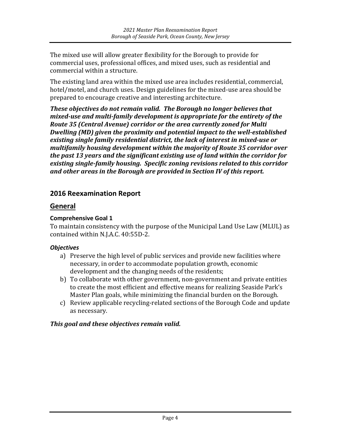The mixed use will allow greater flexibility for the Borough to provide for commercial uses, professional offices, and mixed uses, such as residential and commercial within a structure.

The existing land area within the mixed use area includes residential, commercial, hotel/motel, and church uses. Design guidelines for the mixed-use area should be prepared to encourage creative and interesting architecture.

*These objectives do not remain valid. The Borough no longer believes that mixed-use and multi-family development is appropriate for the entirety of the Route 35 (Central Avenue) corridor or the area currently zoned for Multi Dwelling (MD) given the proximity and potential impact to the well-established existing single family residential district, the lack of interest in mixed-use or multifamily housing development within the majority of Route 35 corridor over the past 13 years and the significant existing use of land within the corridor for existing single-family housing. Specific zoning revisions related to this corridor and other areas in the Borough are provided in Section IV of this report.*

#### **2016 Reexamination Report**

#### **General**

#### **Comprehensive Goal 1**

To maintain consistency with the purpose of the Municipal Land Use Law (MLUL) as contained within N.J.A.C. 40:55D-2.

#### *Objectives*

- a) Preserve the high level of public services and provide new facilities where necessary, in order to accommodate population growth, economic development and the changing needs of the residents;
- b) To collaborate with other government, non-government and private entities to create the most efficient and effective means for realizing Seaside Park's Master Plan goals, while minimizing the financial burden on the Borough.
- c) Review applicable recycling-related sections of the Borough Code and update as necessary.

#### *This goal and these objectives remain valid.*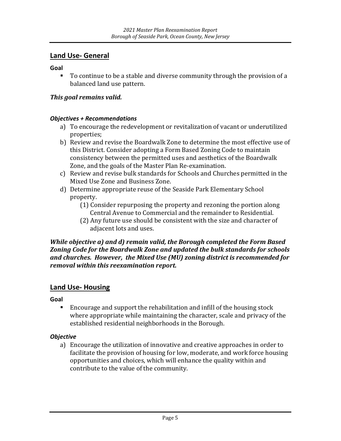#### **Land Use- General**

**Goal**

 To continue to be a stable and diverse community through the provision of a balanced land use pattern.

#### *This goal remains valid.*

#### *Objectives + Recommendations*

- a) To encourage the redevelopment or revitalization of vacant or underutilized properties;
- b) Review and revise the Boardwalk Zone to determine the most effective use of this District. Consider adopting a Form Based Zoning Code to maintain consistency between the permitted uses and aesthetics of the Boardwalk Zone, and the goals of the Master Plan Re-examination.
- c) Review and revise bulk standards for Schools and Churches permitted in the Mixed Use Zone and Business Zone.
- d) Determine appropriate reuse of the Seaside Park Elementary School property.
	- (1) Consider repurposing the property and rezoning the portion along Central Avenue to Commercial and the remainder to Residential.
	- (2) Any future use should be consistent with the size and character of adjacent lots and uses.

#### *While objective a) and d) remain valid, the Borough completed the Form Based Zoning Code for the Boardwalk Zone and updated the bulk standards for schools and churches. However, the Mixed Use (MU) zoning district is recommended for removal within this reexamination report.*

#### **Land Use- Housing**

**Goal**

 Encourage and support the rehabilitation and infill of the housing stock where appropriate while maintaining the character, scale and privacy of the established residential neighborhoods in the Borough.

#### *Objective*

a) Encourage the utilization of innovative and creative approaches in order to facilitate the provision of housing for low, moderate, and work force housing opportunities and choices, which will enhance the quality within and contribute to the value of the community.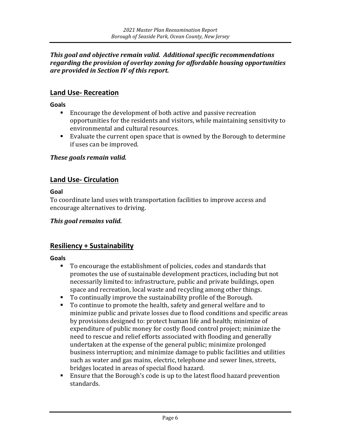#### *This goal and objective remain valid. Additional specific recommendations regarding the provision of overlay zoning for affordable housing opportunities are provided in Section IV of this report.*

#### **Land Use- Recreation**

**Goals**

- Encourage the development of both active and passive recreation opportunities for the residents and visitors, while maintaining sensitivity to environmental and cultural resources.
- Evaluate the current open space that is owned by the Borough to determine if uses can be improved.

#### *These goals remain valid.*

#### **Land Use- Circulation**

**Goal** 

To coordinate land uses with transportation facilities to improve access and encourage alternatives to driving.

#### *This goal remains valid.*

#### **Resiliency + Sustainability**

**Goals**

- To encourage the establishment of policies, codes and standards that promotes the use of sustainable development practices, including but not necessarily limited to: infrastructure, public and private buildings, open space and recreation, local waste and recycling among other things.
- To continually improve the sustainability profile of the Borough.
- To continue to promote the health, safety and general welfare and to minimize public and private losses due to flood conditions and specific areas by provisions designed to: protect human life and health; minimize of expenditure of public money for costly flood control project; minimize the need to rescue and relief efforts associated with flooding and generally undertaken at the expense of the general public; minimize prolonged business interruption; and minimize damage to public facilities and utilities such as water and gas mains, electric, telephone and sewer lines, streets, bridges located in areas of special flood hazard.
- Ensure that the Borough's code is up to the latest flood hazard prevention standards.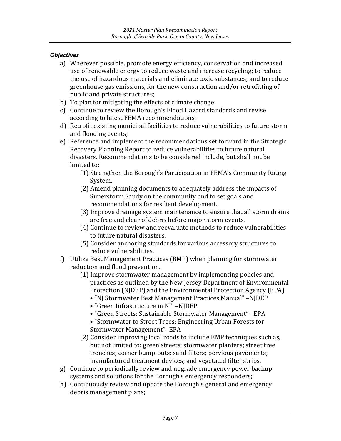#### *Objectives*

- a) Wherever possible, promote energy efficiency, conservation and increased use of renewable energy to reduce waste and increase recycling; to reduce the use of hazardous materials and eliminate toxic substances; and to reduce greenhouse gas emissions, for the new construction and/or retrofitting of public and private structures;
- b) To plan for mitigating the effects of climate change;
- c) Continue to review the Borough's Flood Hazard standards and revise according to latest FEMA recommendations;
- d) Retrofit existing municipal facilities to reduce vulnerabilities to future storm and flooding events;
- e) Reference and implement the recommendations set forward in the Strategic Recovery Planning Report to reduce vulnerabilities to future natural disasters. Recommendations to be considered include, but shall not be limited to:
	- (1) Strengthen the Borough's Participation in FEMA's Community Rating System.
	- (2) Amend planning documents to adequately address the impacts of Superstorm Sandy on the community and to set goals and recommendations for resilient development.
	- (3) Improve drainage system maintenance to ensure that all storm drains are free and clear of debris before major storm events.
	- (4) Continue to review and reevaluate methods to reduce vulnerabilities to future natural disasters.
	- (5) Consider anchoring standards for various accessory structures to reduce vulnerabilities.
- f) Utilize Best Management Practices (BMP) when planning for stormwater reduction and flood prevention.
	- (1) Improve stormwater management by implementing policies and practices as outlined by the New Jersey Department of Environmental Protection (NJDEP) and the Environmental Protection Agency (EPA).
		- "NJ Stormwater Best Management Practices Manual" –NJDEP
		- "Green Infrastructure in NJ" –NJDEP
		- "Green Streets: Sustainable Stormwater Management" –EPA
		- "Stormwater to Street Trees: Engineering Urban Forests for Stormwater Management"- EPA
	- (2) Consider improving local roads to include BMP techniques such as, but not limited to: green streets; stormwater planters; street tree trenches; corner bump-outs; sand filters; pervious pavements; manufactured treatment devices; and vegetated filter strips.
- g) Continue to periodically review and upgrade emergency power backup systems and solutions for the Borough's emergency responders;
- h) Continuously review and update the Borough's general and emergency debris management plans;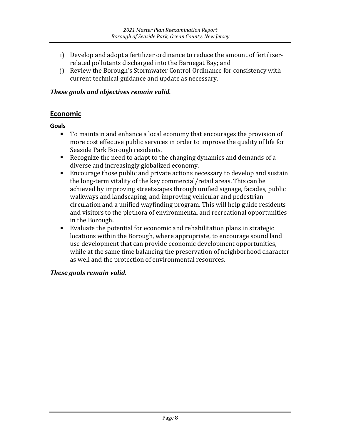- i) Develop and adopt a fertilizer ordinance to reduce the amount of fertilizerrelated pollutants discharged into the Barnegat Bay; and
- j) Review the Borough's Stormwater Control Ordinance for consistency with current technical guidance and update as necessary.

#### *These goals and objectives remain valid.*

#### **Economic**

**Goals**

- To maintain and enhance a local economy that encourages the provision of more cost effective public services in order to improve the quality of life for Seaside Park Borough residents.
- Recognize the need to adapt to the changing dynamics and demands of a diverse and increasingly globalized economy.
- Encourage those public and private actions necessary to develop and sustain the long-term vitality of the key commercial/retail areas. This can be achieved by improving streetscapes through unified signage, facades, public walkways and landscaping, and improving vehicular and pedestrian circulation and a unified wayfinding program. This will help guide residents and visitors to the plethora of environmental and recreational opportunities in the Borough.
- Evaluate the potential for economic and rehabilitation plans in strategic locations within the Borough, where appropriate, to encourage sound land use development that can provide economic development opportunities, while at the same time balancing the preservation of neighborhood character as well and the protection of environmental resources.

#### *These goals remain valid.*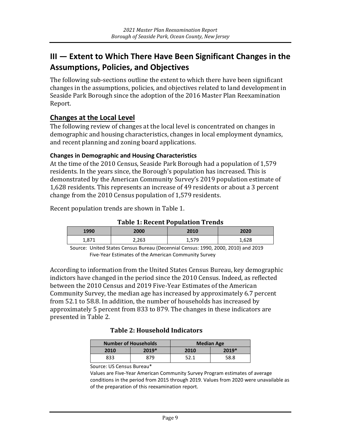## <span id="page-11-0"></span>**III — Extent to Which There Have Been Significant Changes in the Assumptions, Policies, and Objectives**

The following sub-sections outline the extent to which there have been significant changes in the assumptions, policies, and objectives related to land development in Seaside Park Borough since the adoption of the 2016 Master Plan Reexamination Report.

#### **Changes at the Local Level**

The following review of changes at the local level is concentrated on changes in demographic and housing characteristics, changes in local employment dynamics, and recent planning and zoning board applications.

#### **Changes in Demographic and Housing Characteristics**

At the time of the 2010 Census, Seaside Park Borough had a population of 1,579 residents. In the years since, the Borough's population has increased. This is demonstrated by the American Community Survey's 2019 population estimate of 1,628 residents. This represents an increase of 49 residents or about a 3 percent change from the 2010 Census population of 1,579 residents.

Recent population trends are shown in Table 1.

**Table 1: Recent Population Trends**

| 1990  | 2000  | 2010            | 2020  |
|-------|-------|-----------------|-------|
| 1,871 | 2,263 | 579<br>⊂ / د ,⊥ | 1,628 |

Source: United States Census Bureau (Decennial Census: 1990, 2000, 2010) and 2019 Five-Year Estimates of the American Community Survey

According to information from the United States Census Bureau, key demographic indictors have changed in the period since the 2010 Census. Indeed, as reflected between the 2010 Census and 2019 Five-Year Estimates of the American Community Survey, the median age has increased by approximately 6.7 percent from 52.1 to 58.8. In addition, the number of households has increased by approximately 5 percent from 833 to 879. The changes in these indicators are presented in Table 2.

#### **Table 2: Household Indicators**

| <b>Number of Households</b> |       | <b>Median Age</b> |       |  |
|-----------------------------|-------|-------------------|-------|--|
| 2010                        | 2019* | 2010              | 2019* |  |
| 833                         | 879   | 52.1              | 58.8  |  |

#### Source: US Census Bureau\*

Values are Five-Year American Community Survey Program estimates of average conditions in the period from 2015 through 2019. Values from 2020 were unavailable as of the preparation of this reexamination report.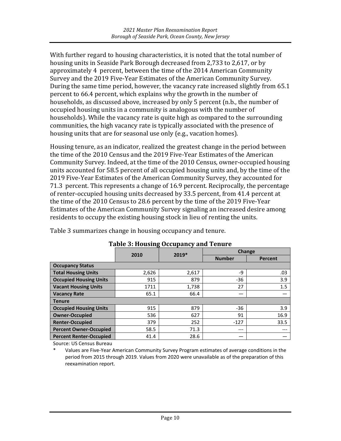With further regard to housing characteristics, it is noted that the total number of housing units in Seaside Park Borough decreased from 2,733 to 2,617, or by approximately 4 percent, between the time of the 2014 American Community Survey and the 2019 Five-Year Estimates of the American Community Survey. During the same time period, however, the vacancy rate increased slightly from 65.1 percent to 66.4 percent, which explains why the growth in the number of households, as discussed above, increased by only 5 percent (n.b., the number of occupied housing units in a community is analogous with the number of households). While the vacancy rate is quite high as compared to the surrounding communities, the high vacancy rate is typically associated with the presence of housing units that are for seasonal use only (e.g., vacation homes).

Housing tenure, as an indicator, realized the greatest change in the period between the time of the 2010 Census and the 2019 Five-Year Estimates of the American Community Survey. Indeed, at the time of the 2010 Census, owner-occupied housing units accounted for 58.5 percent of all occupied housing units and, by the time of the 2019 Five-Year Estimates of the American Community Survey, they accounted for 71.3 percent. This represents a change of 16.9 percent. Reciprocally, the percentage of renter-occupied housing units decreased by 33.5 percent, from 41.4 percent at the time of the 2010 Census to 28.6 percent by the time of the 2019 Five-Year Estimates of the American Community Survey signaling an increased desire among residents to occupy the existing housing stock in lieu of renting the units.

Table 3 summarizes change in housing occupancy and tenure.

|                                | 2010  | 2019* | Change        |         |
|--------------------------------|-------|-------|---------------|---------|
|                                |       |       | <b>Number</b> | Percent |
| <b>Occupancy Status</b>        |       |       |               |         |
| <b>Total Housing Units</b>     | 2,626 | 2,617 | -9            | .03     |
| <b>Occupied Housing Units</b>  | 915   | 879   | $-36$         | 3.9     |
| <b>Vacant Housing Units</b>    | 1711  | 1,738 | 27            | 1.5     |
| <b>Vacancy Rate</b>            | 65.1  | 66.4  |               |         |
| <b>Tenure</b>                  |       |       |               |         |
| <b>Occupied Housing Units</b>  | 915   | 879   | $-36$         | 3.9     |
| <b>Owner-Occupied</b>          | 536   | 627   | 91            | 16.9    |
| <b>Renter-Occupied</b>         | 379   | 252   | $-127$        | 33.5    |
| <b>Percent Owner-Occupied</b>  | 58.5  | 71.3  | $---$         |         |
| <b>Percent Renter-Occupied</b> | 41.4  | 28.6  |               |         |

#### **Table 3: Housing Occupancy and Tenure**

Source: US Census Bureau

Values are Five-Year American Community Survey Program estimates of average conditions in the period from 2015 through 2019. Values from 2020 were unavailable as of the preparation of this reexamination report.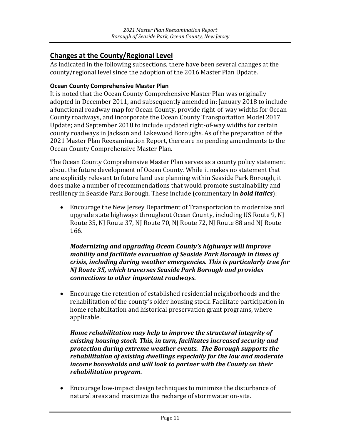#### **Changes at the County/Regional Level**

As indicated in the following subsections, there have been several changes at the county/regional level since the adoption of the 2016 Master Plan Update.

#### **Ocean County Comprehensive Master Plan**

It is noted that the Ocean County Comprehensive Master Plan was originally adopted in December 2011, and subsequently amended in: January 2018 to include a functional roadway map for Ocean County, provide right-of-way widths for Ocean County roadways, and incorporate the Ocean County Transportation Model 2017 Update; and September 2018 to include updated right-of-way widths for certain county roadways in Jackson and Lakewood Boroughs. As of the preparation of the 2021 Master Plan Reexamination Report, there are no pending amendments to the Ocean County Comprehensive Master Plan.

The Ocean County Comprehensive Master Plan serves as a county policy statement about the future development of Ocean County. While it makes no statement that are explicitly relevant to future land use planning within Seaside Park Borough, it does make a number of recommendations that would promote sustainability and resiliency in Seaside Park Borough. These include (commentary in *bold italics*):

• Encourage the New Jersey Department of Transportation to modernize and upgrade state highways throughout Ocean County, including US Route 9, NJ Route 35, NJ Route 37, NJ Route 70, NJ Route 72, NJ Route 88 and NJ Route 166.

*Modernizing and upgrading Ocean County's highways will improve mobility and facilitate evacuation of Seaside Park Borough in times of crisis, including during weather emergencies. This is particularly true for NJ Route 35, which traverses Seaside Park Borough and provides connections to other important roadways.*

• Encourage the retention of established residential neighborhoods and the rehabilitation of the county's older housing stock. Facilitate participation in home rehabilitation and historical preservation grant programs, where applicable.

*Home rehabilitation may help to improve the structural integrity of existing housing stock. This, in turn, facilitates increased security and protection during extreme weather events. The Borough supports the rehabilitation of existing dwellings especially for the low and moderate income households and will look to partner with the County on their rehabilitation program.*

• Encourage low-impact design techniques to minimize the disturbance of natural areas and maximize the recharge of stormwater on-site.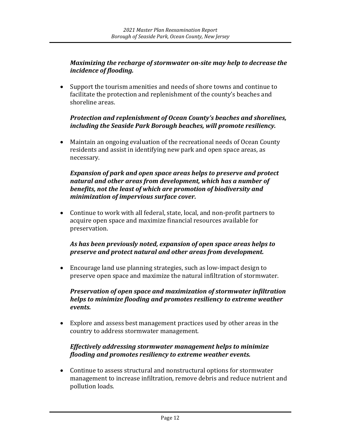#### *Maximizing the recharge of stormwater on-site may help to decrease the incidence of flooding.*

• Support the tourism amenities and needs of shore towns and continue to facilitate the protection and replenishment of the county's beaches and shoreline areas.

#### *Protection and replenishment of Ocean County's beaches and shorelines, including the Seaside Park Borough beaches, will promote resiliency.*

• Maintain an ongoing evaluation of the recreational needs of Ocean County residents and assist in identifying new park and open space areas, as necessary.

#### *Expansion of park and open space areas helps to preserve and protect natural and other areas from development, which has a number of benefits, not the least of which are promotion of biodiversity and minimization of impervious surface cover.*

• Continue to work with all federal, state, local, and non-profit partners to acquire open space and maximize financial resources available for preservation.

#### *As has been previously noted, expansion of open space areas helps to preserve and protect natural and other areas from development.*

• Encourage land use planning strategies, such as low-impact design to preserve open space and maximize the natural infiltration of stormwater.

#### *Preservation of open space and maximization of stormwater infiltration helps to minimize flooding and promotes resiliency to extreme weather events.*

• Explore and assess best management practices used by other areas in the country to address stormwater management.

#### *Effectively addressing stormwater management helps to minimize flooding and promotes resiliency to extreme weather events.*

• Continue to assess structural and nonstructural options for stormwater management to increase infiltration, remove debris and reduce nutrient and pollution loads.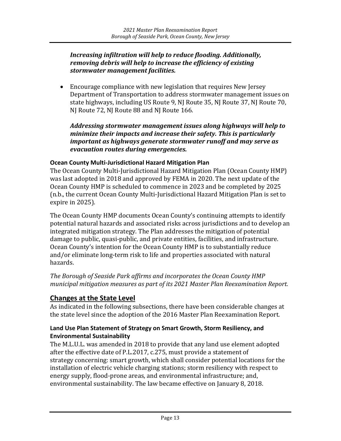#### *Increasing infiltration will help to reduce flooding. Additionally, removing debris will help to increase the efficiency of existing stormwater management facilities.*

• Encourage compliance with new legislation that requires New Jersey Department of Transportation to address stormwater management issues on state highways, including US Route 9, NJ Route 35, NJ Route 37, NJ Route 70, NJ Route 72, NJ Route 88 and NJ Route 166.

*Addressing stormwater management issues along highways will help to minimize their impacts and increase their safety. This is particularly important as highways generate stormwater runoff and may serve as evacuation routes during emergencies.*

#### **Ocean County Multi-Jurisdictional Hazard Mitigation Plan**

The Ocean County Multi-Jurisdictional Hazard Mitigation Plan (Ocean County HMP) was last adopted in 2018 and approved by FEMA in 2020. The next update of the Ocean County HMP is scheduled to commence in 2023 and be completed by 2025 (n.b., the current Ocean County Multi-Jurisdictional Hazard Mitigation Plan is set to expire in 2025).

The Ocean County HMP documents Ocean County's continuing attempts to identify potential natural hazards and associated risks across jurisdictions and to develop an integrated mitigation strategy. The Plan addresses the mitigation of potential damage to public, quasi-public, and private entities, facilities, and infrastructure. Ocean County's intention for the Ocean County HMP is to substantially reduce and/or eliminate long-term risk to life and properties associated with natural hazards.

*The Borough of Seaside Park affirms and incorporates the Ocean County HMP municipal mitigation measures as part of its 2021 Master Plan Reexamination Report.*

#### **Changes at the State Level**

As indicated in the following subsections, there have been considerable changes at the state level since the adoption of the 2016 Master Plan Reexamination Report.

#### **Land Use Plan Statement of Strategy on Smart Growth, Storm Resiliency, and Environmental Sustainability**

The M.L.U.L. was amended in 2018 to provide that any land use element adopted after the effective date of P.L.2017, c.275, must provide a statement of strategy concerning: smart growth, which shall consider potential locations for the installation of electric vehicle charging stations; storm resiliency with respect to energy supply, flood-prone areas, and environmental infrastructure; and, environmental sustainability. The law became effective on January 8, 2018.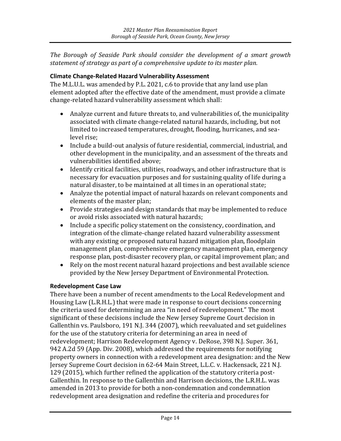*The Borough of Seaside Park should consider the development of a smart growth statement of strategy as part of a comprehensive update to its master plan.*

#### **Climate Change-Related Hazard Vulnerability Assessment**

The M.L.U.L. was amended by P.L. 2021, c.6 to provide that any land use plan element adopted after the effective date of the amendment, must provide a climate change-related hazard vulnerability assessment which shall:

- Analyze current and future threats to, and vulnerabilities of, the municipality associated with climate change-related natural hazards, including, but not limited to increased temperatures, drought, flooding, hurricanes, and sealevel rise;
- Include a build-out analysis of future residential, commercial, industrial, and other development in the municipality, and an assessment of the threats and vulnerabilities identified above;
- Identify critical facilities, utilities, roadways, and other infrastructure that is necessary for evacuation purposes and for sustaining quality of life during a natural disaster, to be maintained at all times in an operational state;
- Analyze the potential impact of natural hazards on relevant components and elements of the master plan;
- Provide strategies and design standards that may be implemented to reduce or avoid risks associated with natural hazards;
- Include a specific policy statement on the consistency, coordination, and integration of the climate-change related hazard vulnerability assessment with any existing or proposed natural hazard mitigation plan, floodplain management plan, comprehensive emergency management plan, emergency response plan, post-disaster recovery plan, or capital improvement plan; and
- Rely on the most recent natural hazard projections and best available science provided by the New Jersey Department of Environmental Protection.

#### **Redevelopment Case Law**

There have been a number of recent amendments to the Local Redevelopment and Housing Law (L.R.H.L.) that were made in response to court decisions concerning the criteria used for determining an area "in need of redevelopment." The most significant of these decisions include the New Jersey Supreme Court decision in Gallenthin vs. Paulsboro, 191 N.J. 344 (2007), which reevaluated and set guidelines for the use of the statutory criteria for determining an area in need of redevelopment; Harrison Redevelopment Agency v. DeRose, 398 N.J. Super. 361, 942 A.2d 59 (App. Div. 2008), which addressed the requirements for notifying property owners in connection with a redevelopment area designation: and the New Jersey Supreme Court decision in 62-64 Main Street, L.L.C. v. Hackensack, 221 N.J. 129 (2015), which further refined the application of the statutory criteria post-Gallenthin. In response to the Gallenthin and Harrison decisions, the L.R.H.L. was amended in 2013 to provide for both a non-condemnation and condemnation redevelopment area designation and redefine the criteria and procedures for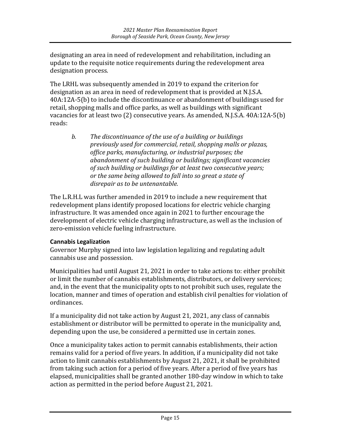designating an area in need of redevelopment and rehabilitation, including an update to the requisite notice requirements during the redevelopment area designation process.

The LRHL was subsequently amended in 2019 to expand the criterion for designation as an area in need of redevelopment that is provided at N.J.S.A. 40A:12A-5(b) to include the discontinuance or abandonment of buildings used for retail, shopping malls and office parks, as well as buildings with significant vacancies for at least two (2) consecutive years. As amended, N.J.S.A. 40A:12A-5(b) reads:

*b. The discontinuance of the use of a building or buildings previously used for commercial, retail, shopping malls or plazas, office parks, manufacturing, or industrial purposes; the abandonment of such building or buildings; significant vacancies of such building or buildings for at least two consecutive years; or the same being allowed to fall into so great a state of disrepair as to be untenantable.*

The L.R.H.L was further amended in 2019 to include a new requirement that redevelopment plans identify proposed locations for electric vehicle charging infrastructure. It was amended once again in 2021 to further encourage the development of electric vehicle charging infrastructure, as well as the inclusion of zero-emission vehicle fueling infrastructure.

#### **Cannabis Legalization**

Governor Murphy signed into law legislation legalizing and regulating adult cannabis use and possession.

Municipalities had until August 21, 2021 in order to take actions to: either prohibit or limit the number of cannabis establishments, distributors, or delivery services; and, in the event that the municipality opts to not prohibit such uses, regulate the location, manner and times of operation and establish civil penalties for violation of ordinances.

If a municipality did not take action by August 21, 2021, any class of cannabis establishment or distributor will be permitted to operate in the municipality and, depending upon the use, be considered a permitted use in certain zones.

Once a municipality takes action to permit cannabis establishments, their action remains valid for a period of five years. In addition, if a municipality did not take action to limit cannabis establishments by August 21, 2021, it shall be prohibited from taking such action for a period of five years. After a period of five years has elapsed, municipalities shall be granted another 180-day window in which to take action as permitted in the period before August 21, 2021.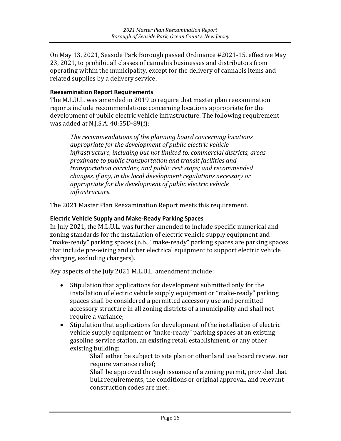On May 13, 2021, Seaside Park Borough passed Ordinance #2021-15, effective May 23, 2021, to prohibit all classes of cannabis businesses and distributors from operating within the municipality, except for the delivery of cannabis items and related supplies by a delivery service.

#### **Reexamination Report Requirements**

The M.L.U.L. was amended in 2019 to require that master plan reexamination reports include recommendations concerning locations appropriate for the development of public electric vehicle infrastructure. The following requirement was added at N.J.S.A. 40:55D-89(f):

*The recommendations of the planning board concerning locations appropriate for the development of public electric vehicle infrastructure, including but not limited to, commercial districts, areas proximate to public transportation and transit facilities and transportation corridors, and public rest stops; and recommended changes, if any, in the local development regulations necessary or appropriate for the development of public electric vehicle infrastructure.* 

The 2021 Master Plan Reexamination Report meets this requirement.

#### **Electric Vehicle Supply and Make-Ready Parking Spaces**

In July 2021, the M.L.U.L. was further amended to include specific numerical and zoning standards for the installation of electric vehicle supply equipment and "make-ready" parking spaces (n.b., "make-ready" parking spaces are parking spaces that include pre-wiring and other electrical equipment to support electric vehicle charging, excluding chargers).

Key aspects of the July 2021 M.L.U.L. amendment include:

- Stipulation that applications for development submitted only for the installation of electric vehicle supply equipment or "make-ready" parking spaces shall be considered a permitted accessory use and permitted accessory structure in all zoning districts of a municipality and shall not require a variance;
- Stipulation that applications for development of the installation of electric vehicle supply equipment or "make-ready" parking spaces at an existing gasoline service station, an existing retail establishment, or any other existing building:
	- Shall either be subject to site plan or other land use board review, nor require variance relief;
	- Shall be approved through issuance of a zoning permit, provided that bulk requirements, the conditions or original approval, and relevant construction codes are met;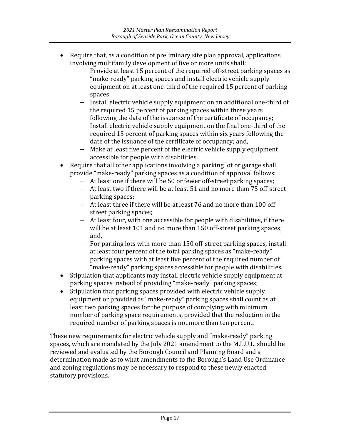- Require that, as a condition of preliminary site plan approval, applications involving multifamily development of five or more units shall:
	- Provide at least 15 percent of the required off-street parking spaces as "make-ready" parking spaces and install electric vehicle supply equipment on at least one-third of the required 15 percent of parking spaces;
	- Install electric vehicle supply equipment on an additional one-third of the required 15 percent of parking spaces within three years following the date of the issuance of the certificate of occupancy;
	- Install electric vehicle supply equipment on the final one-third of the required 15 percent of parking spaces within six years following the date of the issuance of the certificate of occupancy; and,
	- Make at least five percent of the electric vehicle supply equipment accessible for people with disabilities.
- Require that all other applications involving a parking lot or garage shall provide "make-ready" parking spaces as a condition of approval follows:
	- At least one if there will be 50 or fewer off-street parking spaces;
	- At least two if there will be at least 51 and no more than 75 off-street parking spaces;
	- At least three if there will be at least 76 and no more than 100 offstreet parking spaces;
	- At least four, with one accessible for people with disabilities, if there will be at least 101 and no more than 150 off-street parking spaces; and,
	- For parking lots with more than 150 off-street parking spaces, install at least four percent of the total parking spaces as "make-ready" parking spaces with at least five percent of the required number of "make-ready" parking spaces accessible for people with disabilities.
- Stipulation that applicants may install electric vehicle supply equipment at parking spaces instead of providing "make-ready" parking spaces;
- Stipulation that parking spaces provided with electric vehicle supply equipment or provided as "make-ready" parking spaces shall count as at least two parking spaces for the purpose of complying with minimum number of parking space requirements, provided that the reduction in the required number of parking spaces is not more than ten percent.

These new requirements for electric vehicle supply and "make-ready" parking spaces, which are mandated by the July 2021 amendment to the M.L.U.L. should be reviewed and evaluated by the Borough Council and Planning Board and a determination made as to what amendments to the Borough's Land Use Ordinance and zoning regulations may be necessary to respond to these newly enacted statutory provisions.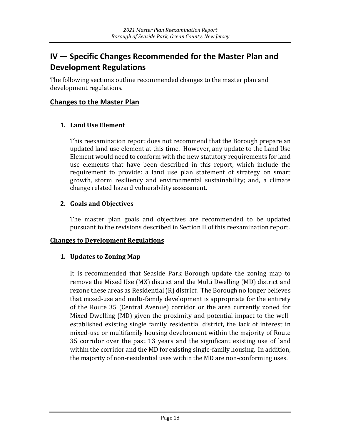## <span id="page-20-0"></span>**IV — Specific Changes Recommended for the Master Plan and Development Regulations**

The following sections outline recommended changes to the master plan and development regulations.

#### **Changes to the Master Plan**

#### **1. Land Use Element**

This reexamination report does not recommend that the Borough prepare an updated land use element at this time. However, any update to the Land Use Element would need to conform with the new statutory requirements for land use elements that have been described in this report, which include the requirement to provide: a land use plan statement of strategy on smart growth, storm resiliency and environmental sustainability; and, a climate change related hazard vulnerability assessment.

#### **2. Goals and Objectives**

The master plan goals and objectives are recommended to be updated pursuant to the revisions described in Section II of this reexamination report.

#### **Changes to Development Regulations**

#### **1. Updates to Zoning Map**

It is recommended that Seaside Park Borough update the zoning map to remove the Mixed Use (MX) district and the Multi Dwelling (MD) district and rezone these areas as Residential (R) district. The Borough no longer believes that mixed-use and multi-family development is appropriate for the entirety of the Route 35 (Central Avenue) corridor or the area currently zoned for Mixed Dwelling (MD) given the proximity and potential impact to the wellestablished existing single family residential district, the lack of interest in mixed-use or multifamily housing development within the majority of Route 35 corridor over the past 13 years and the significant existing use of land within the corridor and the MD for existing single-family housing. In addition, the majority of non-residential uses within the MD are non-conforming uses.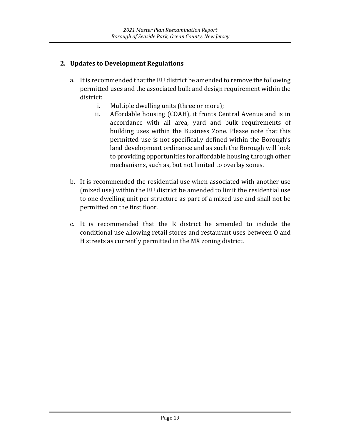#### **2. Updates to Development Regulations**

- a. It is recommended that the BU district be amended to remove the following permitted uses and the associated bulk and design requirement within the district:<br>i.
	- i. Multiple dwelling units (three or more);<br>ii. Affordable housing (COAH), it fronts Ce
	- Affordable housing (COAH), it fronts Central Avenue and is in accordance with all area, yard and bulk requirements of building uses within the Business Zone. Please note that this permitted use is not specifically defined within the Borough's land development ordinance and as such the Borough will look to providing opportunities for affordable housing through other mechanisms, such as, but not limited to overlay zones.
- b. It is recommended the residential use when associated with another use (mixed use) within the BU district be amended to limit the residential use to one dwelling unit per structure as part of a mixed use and shall not be permitted on the first floor.
- c. It is recommended that the R district be amended to include the conditional use allowing retail stores and restaurant uses between O and H streets as currently permitted in the MX zoning district.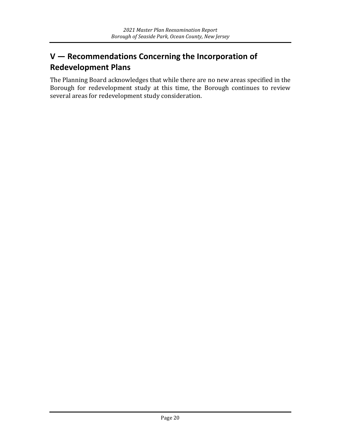## <span id="page-22-0"></span>**V — Recommendations Concerning the Incorporation of Redevelopment Plans**

The Planning Board acknowledges that while there are no new areas specified in the Borough for redevelopment study at this time, the Borough continues to review several areas for redevelopment study consideration.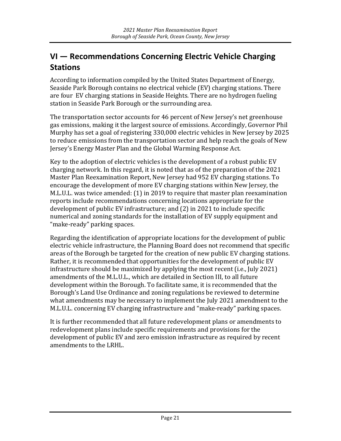## <span id="page-23-0"></span>**VI — Recommendations Concerning Electric Vehicle Charging Stations**

According to information compiled by the United States Department of Energy, Seaside Park Borough contains no electrical vehicle (EV) charging stations. There are four EV charging stations in Seaside Heights. There are no hydrogen fueling station in Seaside Park Borough or the surrounding area.

The transportation sector accounts for 46 percent of New Jersey's net greenhouse gas emissions, making it the largest source of emissions. Accordingly, Governor Phil Murphy has set a goal of registering 330,000 electric vehicles in New Jersey by 2025 to reduce emissions from the transportation sector and help reach the goals of New Jersey's Energy Master Plan and the Global Warming Response Act.

Key to the adoption of electric vehicles is the development of a robust public EV charging network. In this regard, it is noted that as of the preparation of the 2021 Master Plan Reexamination Report, New Jersey had 952 EV charging stations. To encourage the development of more EV charging stations within New Jersey, the M.L.U.L. was twice amended: (1) in 2019 to require that master plan reexamination reports include recommendations concerning locations appropriate for the development of public EV infrastructure; and (2) in 2021 to include specific numerical and zoning standards for the installation of EV supply equipment and "make-ready" parking spaces.

Regarding the identification of appropriate locations for the development of public electric vehicle infrastructure, the Planning Board does not recommend that specific areas of the Borough be targeted for the creation of new public EV charging stations. Rather, it is recommended that opportunities for the development of public EV infrastructure should be maximized by applying the most recent (i.e., July 2021) amendments of the M.L.U.L., which are detailed in Section III, to all future development within the Borough. To facilitate same, it is recommended that the Borough's Land Use Ordinance and zoning regulations be reviewed to determine what amendments may be necessary to implement the July 2021 amendment to the M.L.U.L. concerning EV charging infrastructure and "make-ready" parking spaces.

It is further recommended that all future redevelopment plans or amendments to redevelopment plans include specific requirements and provisions for the development of public EV and zero emission infrastructure as required by recent amendments to the LRHL.